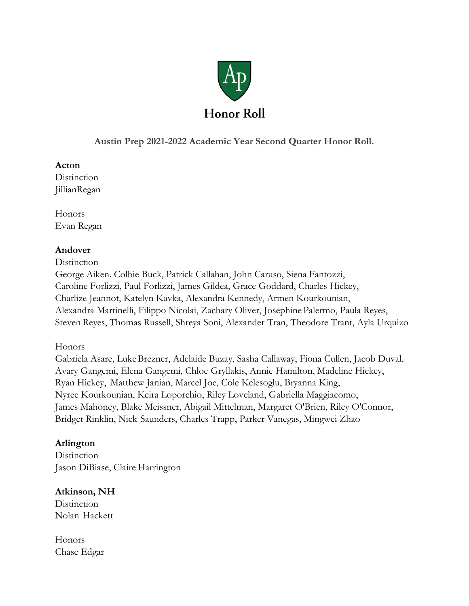

**Austin Prep 2021-2022 Academic Year Second Quarter Honor Roll.**

### **Acton**

**Distinction** JillianRegan

Honors Evan Regan

# **Andover**

**Distinction** 

George Aiken. Colbie Buck, Patrick Callahan, John Caruso, Siena Fantozzi, Caroline Forlizzi, Paul Forlizzi, James Gildea, Grace Goddard, Charles Hickey, Charlize Jeannot, Katelyn Kavka, Alexandra Kennedy, Armen Kourkounian, Alexandra Martinelli, Filippo Nicolai, Zachary Oliver, Josephine Palermo, Paula Reyes, Steven Reyes, Thomas Russell, Shreya Soni, Alexander Tran, Theodore Trant, Ayla Urquizo

# Honors

Gabriela Asare, LukeBrezner, Adelaide Buzay, Sasha Callaway, Fiona Cullen, Jacob Duval, Avary Gangemi, Elena Gangemi, Chloe Gryllakis, Annie Hamilton, Madeline Hickey, Ryan Hickey, Matthew Janian, Marcel Joe, Cole Kelesoglu, Bryanna King, Nyree Kourkounian, Keira Loporchio, Riley Loveland, Gabriella Maggiacomo, James Mahoney, Blake Meissner, Abigail Mittelman, Margaret O'Brien, Riley O'Connor, Bridget Rinklin, Nick Saunders, Charles Trapp, Parker Vanegas, Mingwei Zhao

# **Arlington**

**Distinction** Jason DiBiase, Claire Harrington

# **Atkinson, NH**

**Distinction** Nolan Hackett

Honors Chase Edgar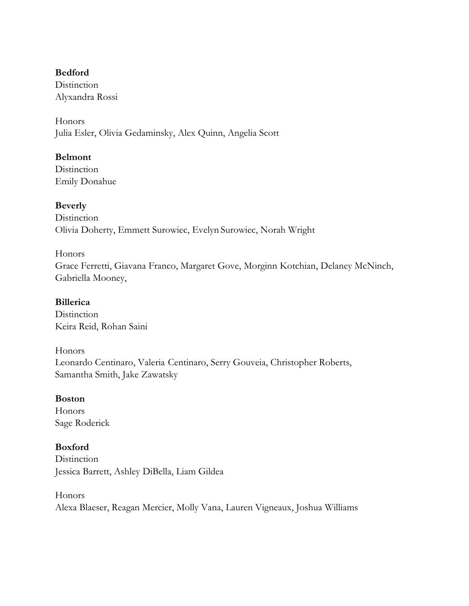#### **Bedford**

**Distinction** Alyxandra Rossi

Honors Julia Esler, Olivia Gedaminsky, Alex Quinn, Angelia Scott

# **Belmont**

**Distinction** Emily Donahue

# **Beverly**

**Distinction** Olivia Doherty, Emmett Surowiec, Evelyn Surowiec, Norah Wright

### Honors

Grace Ferretti, Giavana Franco, Margaret Gove, Morginn Kotchian, Delaney McNinch, Gabriella Mooney,

# **Billerica**

**Distinction** Keira Reid, Rohan Saini

# Honors

Leonardo Centinaro, Valeria Centinaro, Serry Gouveia, Christopher Roberts, Samantha Smith, Jake Zawatsky

# **Boston**

Honors Sage Roderick

# **Boxford**

**Distinction** Jessica Barrett, Ashley DiBella, Liam Gildea

#### Honors

Alexa Blaeser, Reagan Mercier, Molly Vana, Lauren Vigneaux, Joshua Williams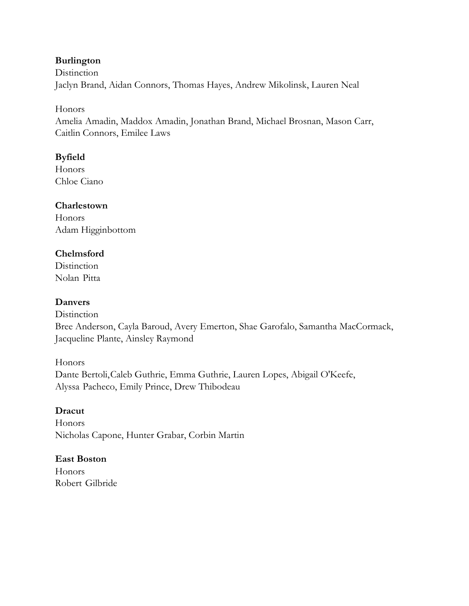# **Burlington**

**Distinction** Jaclyn Brand, Aidan Connors, Thomas Hayes, Andrew Mikolinsk, Lauren Neal

### Honors

Amelia Amadin, Maddox Amadin, Jonathan Brand, Michael Brosnan, Mason Carr, Caitlin Connors, Emilee Laws

# **Byfield**

**Honors** Chloe Ciano

# **Charlestown**

Honors Adam Higginbottom

# **Chelmsford**

**Distinction** Nolan Pitta

# **Danvers**

**Distinction** Bree Anderson, Cayla Baroud, Avery Emerton, Shae Garofalo, Samantha MacCormack, Jacqueline Plante, Ainsley Raymond

Honors Dante Bertoli,Caleb Guthrie, Emma Guthrie, Lauren Lopes, Abigail O'Keefe, Alyssa Pacheco, Emily Prince, Drew Thibodeau

# **Dracut**

Honors Nicholas Capone, Hunter Grabar, Corbin Martin

# **East Boston**

Honors Robert Gilbride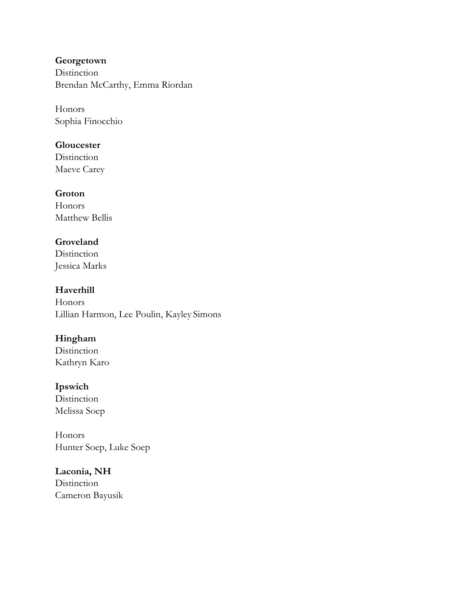**Georgetown Distinction** Brendan McCarthy, Emma Riordan

Honors Sophia Finocchio

### **Gloucester**

**Distinction** Maeve Carey

### **Groton**

Honors Matthew Bellis

# **Groveland**

**Distinction** Jessica Marks

# **Haverhill**

Honors Lillian Harmon, Lee Poulin, Kayley Simons

# **Hingham**

**Distinction** Kathryn Karo

# **Ipswich**

**Distinction** Melissa Soep

Honors Hunter Soep, Luke Soep

# **Laconia, NH Distinction** Cameron Bayusik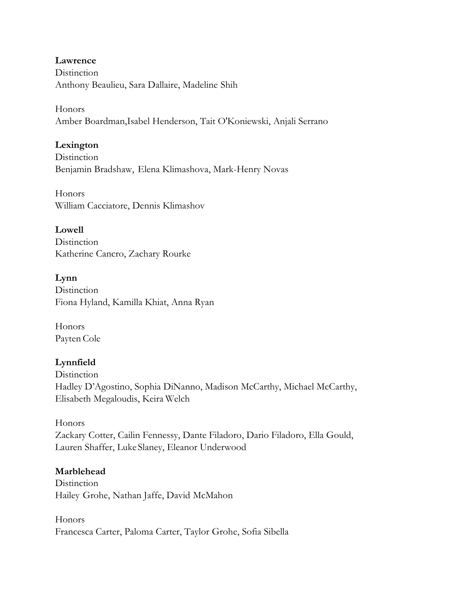**Lawrence Distinction** Anthony Beaulieu, Sara Dallaire, Madeline Shih

Honors Amber Boardman,Isabel Henderson, Tait O'Koniewski, Anjali Serrano

### **Lexington**

**Distinction** Benjamin Bradshaw, Elena Klimashova, Mark-Henry Novas

Honors William Cacciatore, Dennis Klimashov

**Lowell Distinction** Katherine Cancro, Zachary Rourke

**Lynn Distinction** Fiona Hyland, Kamilla Khiat, Anna Ryan

Honors Payten Cole

# **Lynnfield**

**Distinction** Hadley D'Agostino, Sophia DiNanno, Madison McCarthy, Michael McCarthy, Elisabeth Megaloudis, Keira Welch

Honors Zackary Cotter, Cailin Fennessy, Dante Filadoro, Dario Filadoro, Ella Gould, Lauren Shaffer, Luke Slaney, Eleanor Underwood

#### **Marblehead**

**Distinction** Hailey Grohe, Nathan Jaffe, David McMahon

Honors Francesca Carter, Paloma Carter, Taylor Grohe, Sofia Sibella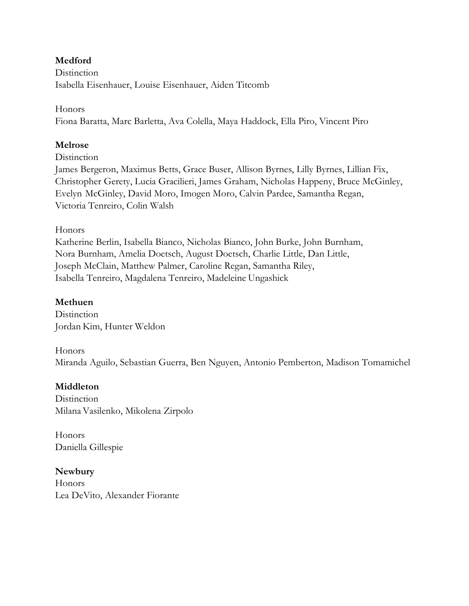# **Medford**

**Distinction** Isabella Eisenhauer, Louise Eisenhauer, Aiden Titcomb

### Honors

Fiona Baratta, Marc Barletta, Ava Colella, Maya Haddock, Ella Piro, Vincent Piro

# **Melrose**

**Distinction** 

James Bergeron, Maximus Betts, Grace Buser, Allison Byrnes, Lilly Byrnes, Lillian Fix, Christopher Gerety, Lucia Gracilieri, James Graham, Nicholas Happeny, Bruce McGinley, Evelyn McGinley, David Moro, Imogen Moro, Calvin Pardee, Samantha Regan, Victoria Tenreiro, Colin Walsh

# Honors

Katherine Berlin, Isabella Bianco, Nicholas Bianco, John Burke, John Burnham, Nora Burnham, Amelia Doetsch, August Doetsch, Charlie Little, Dan Little, Joseph McClain, Matthew Palmer, Caroline Regan, Samantha Riley, Isabella Tenreiro, Magdalena Tenreiro, Madeleine Ungashick

# **Methuen**

**Distinction** Jordan Kim, Hunter Weldon

# Honors

Miranda Aguilo, Sebastian Guerra, Ben Nguyen, Antonio Pemberton, Madison Tomamichel

# **Middleton**

**Distinction** MilanaVasilenko, Mikolena Zirpolo

Honors Daniella Gillespie

**Newbury Honors** Lea DeVito, Alexander Fiorante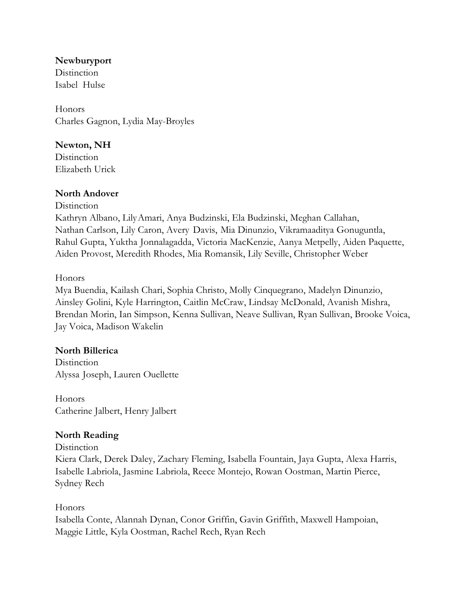### **Newburyport**

**Distinction** Isabel Hulse

Honors Charles Gagnon, Lydia May-Broyles

# **Newton, NH**

**Distinction** Elizabeth Urick

# **North Andover**

**Distinction** 

Kathryn Albano, LilyAmari, Anya Budzinski, Ela Budzinski, Meghan Callahan, Nathan Carlson, Lily Caron, Avery Davis, Mia Dinunzio, Vikramaaditya Gonuguntla, Rahul Gupta, Yuktha Jonnalagadda, Victoria MacKenzie, Aanya Metpelly, Aiden Paquette, Aiden Provost, Meredith Rhodes, Mia Romansik, Lily Seville, Christopher Weber

Honors

Mya Buendia, Kailash Chari, Sophia Christo, Molly Cinquegrano, Madelyn Dinunzio, Ainsley Golini, Kyle Harrington, Caitlin McCraw, Lindsay McDonald, Avanish Mishra, Brendan Morin, Ian Simpson, Kenna Sullivan, Neave Sullivan, Ryan Sullivan, Brooke Voica, Jay Voica, Madison Wakelin

# **North Billerica**

**Distinction** Alyssa Joseph, Lauren Ouellette

Honors Catherine Jalbert, Henry Jalbert

# **North Reading**

**Distinction** 

Kiera Clark, Derek Daley, Zachary Fleming, Isabella Fountain, Jaya Gupta, Alexa Harris, Isabelle Labriola, Jasmine Labriola, Reece Montejo, Rowan Oostman, Martin Pierce, Sydney Rech

# Honors

Isabella Conte, Alannah Dynan, Conor Griffin, Gavin Griffith, Maxwell Hampoian, Maggie Little, Kyla Oostman, Rachel Rech, Ryan Rech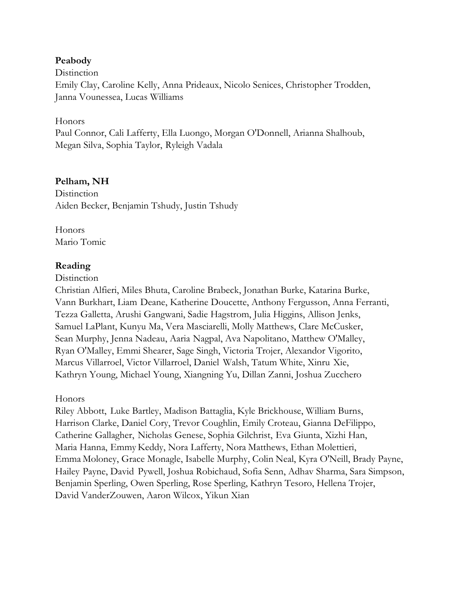#### **Peabody**

**Distinction** Emily Clay, Caroline Kelly, Anna Prideaux, Nicolo Senices, Christopher Trodden, Janna Vounessea, Lucas Williams

#### Honors

Paul Connor, Cali Lafferty, Ella Luongo, Morgan O'Donnell, Arianna Shalhoub, Megan Silva, Sophia Taylor, Ryleigh Vadala

### **Pelham, NH**

**Distinction** Aiden Becker, Benjamin Tshudy, Justin Tshudy

Honors Mario Tomic

### **Reading**

#### **Distinction**

Christian Alfieri, Miles Bhuta, Caroline Brabeck, Jonathan Burke, Katarina Burke, Vann Burkhart, Liam Deane, Katherine Doucette, Anthony Fergusson, Anna Ferranti, Tezza Galletta, Arushi Gangwani, Sadie Hagstrom, Julia Higgins, Allison Jenks, Samuel LaPlant, Kunyu Ma, Vera Masciarelli, Molly Matthews, Clare McCusker, Sean Murphy, Jenna Nadeau, Aaria Nagpal, Ava Napolitano, Matthew O'Malley, Ryan O'Malley, Emmi Shearer, Sage Singh, Victoria Trojer, Alexandor Vigorito, Marcus Villarroel, Victor Villarroel, Daniel Walsh, Tatum White, Xinru Xie, Kathryn Young, Michael Young, Xiangning Yu, Dillan Zanni, Joshua Zucchero

#### Honors

Riley Abbott, Luke Bartley, Madison Battaglia, Kyle Brickhouse, William Burns, Harrison Clarke, Daniel Cory, Trevor Coughlin, Emily Croteau, Gianna DeFilippo, Catherine Gallagher, Nicholas Genese, Sophia Gilchrist, Eva Giunta, Xizhi Han, Maria Hanna, Emmy Keddy, Nora Lafferty, Nora Matthews, Ethan Molettieri, Emma Moloney, Grace Monagle, Isabelle Murphy, Colin Neal, Kyra O'Neill, Brady Payne, Hailey Payne, David Pywell, Joshua Robichaud, Sofia Senn, Adhav Sharma, Sara Simpson, Benjamin Sperling, Owen Sperling, Rose Sperling, Kathryn Tesoro, Hellena Trojer, David VanderZouwen, Aaron Wilcox, Yikun Xian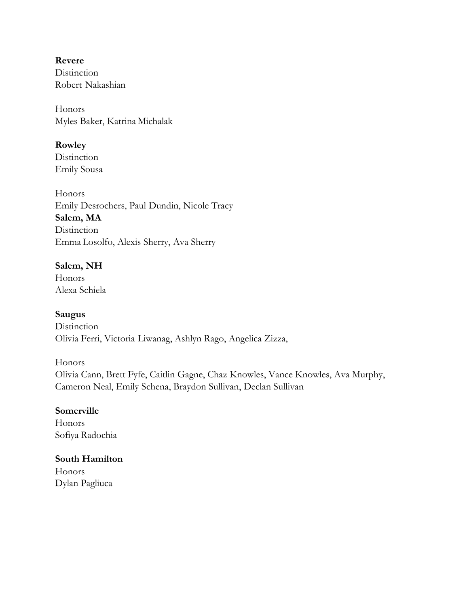**Revere Distinction** Robert Nakashian

Honors Myles Baker, Katrina Michalak

**Rowley**

**Distinction** Emily Sousa

Honors Emily Desrochers, Paul Dundin, Nicole Tracy **Salem, MA Distinction** Emma Losolfo, Alexis Sherry, Ava Sherry

# **Salem, NH**

Honors Alexa Schiela

# **Saugus**

**Distinction** Olivia Ferri, Victoria Liwanag, Ashlyn Rago, Angelica Zizza,

Honors

Olivia Cann, Brett Fyfe, Caitlin Gagne, Chaz Knowles, Vance Knowles, Ava Murphy, Cameron Neal, Emily Schena, Braydon Sullivan, Declan Sullivan

# **Somerville**

Honors Sofiya Radochia

# **South Hamilton**

Honors Dylan Pagliuca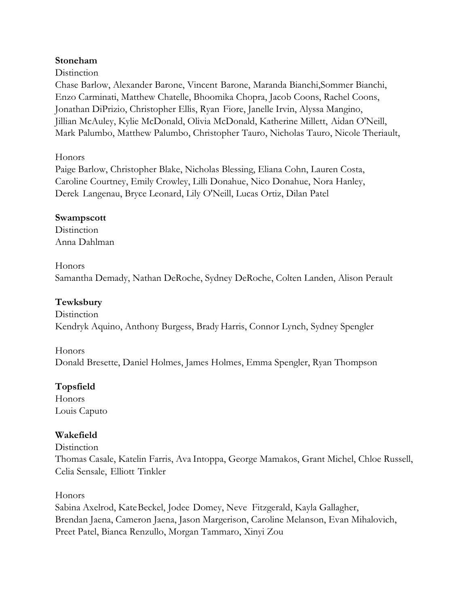# **Stoneham**

#### **Distinction**

Chase Barlow, Alexander Barone, Vincent Barone, Maranda Bianchi,Sommer Bianchi, Enzo Carminati, Matthew Chatelle, Bhoomika Chopra, Jacob Coons, Rachel Coons, Jonathan DiPrizio, Christopher Ellis, Ryan Fiore, Janelle Irvin, Alyssa Mangino, Jillian McAuley, Kylie McDonald, Olivia McDonald, Katherine Millett, Aidan O'Neill, Mark Palumbo, Matthew Palumbo, Christopher Tauro, Nicholas Tauro, Nicole Theriault,

### Honors

Paige Barlow, Christopher Blake, Nicholas Blessing, Eliana Cohn, Lauren Costa, Caroline Courtney, Emily Crowley, Lilli Donahue, Nico Donahue, Nora Hanley, Derek Langenau, Bryce Leonard, Lily O'Neill, Lucas Ortiz, Dilan Patel

### **Swampscott**

**Distinction** Anna Dahlman

#### Honors

Samantha Demady, Nathan DeRoche, Sydney DeRoche, Colten Landen, Alison Perault

# **Tewksbury**

**Distinction** Kendryk Aquino, Anthony Burgess, Brady Harris, Connor Lynch, Sydney Spengler

Honors Donald Bresette, Daniel Holmes, James Holmes, Emma Spengler, Ryan Thompson

# **Topsfield**

Honors Louis Caputo

# **Wakefield**

**Distinction** Thomas Casale, Katelin Farris, Ava Intoppa, George Mamakos, Grant Michel, Chloe Russell, Celia Sensale, Elliott Tinkler

# Honors

Sabina Axelrod, KateBeckel, Jodee Domey, Neve Fitzgerald, Kayla Gallagher, Brendan Jaena, Cameron Jaena, Jason Margerison, Caroline Melanson, Evan Mihalovich, Preet Patel, Bianca Renzullo, Morgan Tammaro, Xinyi Zou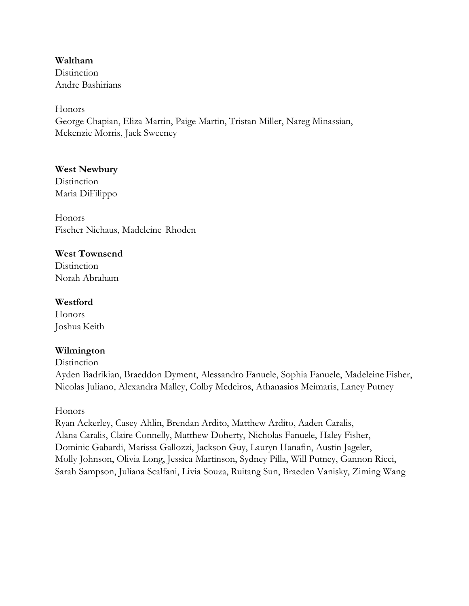**Waltham Distinction** Andre Bashirians

Honors George Chapian, Eliza Martin, Paige Martin, Tristan Miller, Nareg Minassian, Mckenzie Morris, Jack Sweeney

#### **West Newbury**

**Distinction** Maria DiFilippo

Honors Fischer Niehaus, Madeleine Rhoden

# **West Townsend**

**Distinction** Norah Abraham

### **Westford**

Honors Joshua Keith

# **Wilmington**

**Distinction** 

Ayden Badrikian, Braeddon Dyment, Alessandro Fanuele, Sophia Fanuele, Madeleine Fisher, Nicolas Juliano, Alexandra Malley, Colby Medeiros, Athanasios Meimaris, Laney Putney

#### Honors

Ryan Ackerley, Casey Ahlin, Brendan Ardito, Matthew Ardito, Aaden Caralis, Alana Caralis, Claire Connelly, Matthew Doherty, Nicholas Fanuele, Haley Fisher, Dominic Gabardi, Marissa Gallozzi, Jackson Guy, Lauryn Hanafin, Austin Jageler, Molly Johnson, Olivia Long, Jessica Martinson, Sydney Pilla, Will Putney, Gannon Ricci, Sarah Sampson, Juliana Scalfani, Livia Souza, Ruitang Sun, Braeden Vanisky, Ziming Wang